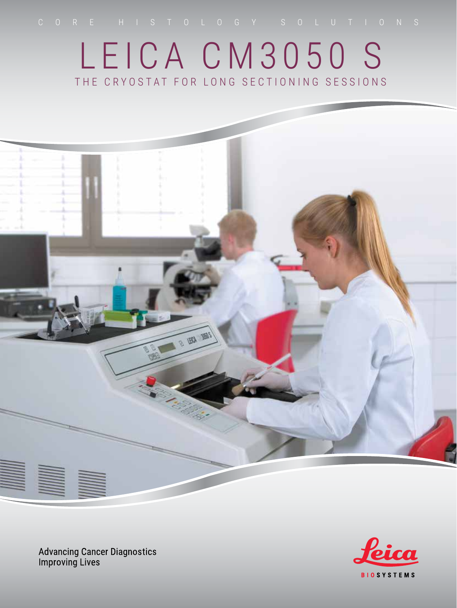# LEICA CM3050 S THE CRYOSTAT FOR LONG SECTIONING SESSIONS



**Advancing Cancer Diagnostics**<br>Improving Lives

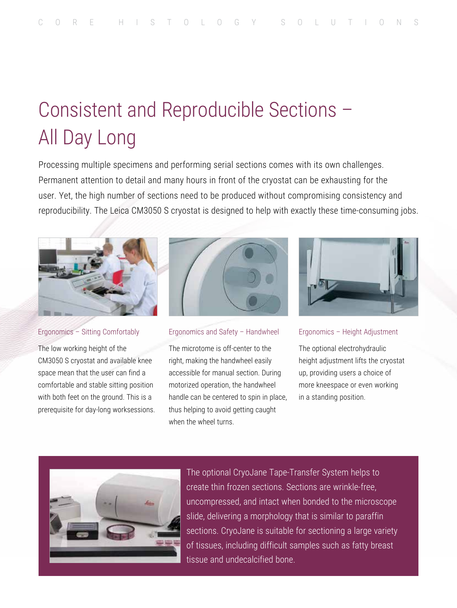# Consistent and Reproducible Sections – All Day Long

Processing multiple specimens and performing serial sections comes with its own challenges. Permanent attention to detail and many hours in front of the cryostat can be exhausting for the user. Yet, the high number of sections need to be produced without compromising consistency and reproducibility. The Leica CM3050 S cryostat is designed to help with exactly these time-consuming jobs.



#### Ergonomics – Sitting Comfortably

The low working height of the CM3050 S cryostat and available knee space mean that the user can find a comfortable and stable sitting position with both feet on the ground. This is a prerequisite for day-long worksessions.



#### Ergonomics and Safety – Handwheel

The microtome is off-center to the right, making the handwheel easily accessible for manual section. During motorized operation, the handwheel handle can be centered to spin in place, thus helping to avoid getting caught when the wheel turns.



Ergonomics – Height Adjustment

The optional electrohydraulic height adjustment lifts the cryostat up, providing users a choice of more kneespace or even working in a standing position.



The optional CryoJane Tape-Transfer System helps to create thin frozen sections. Sections are wrinkle-free, uncompressed, and intact when bonded to the microscope slide, delivering a morphology that is similar to paraffin sections. CryoJane is suitable for sectioning a large variety of tissues, including difficult samples such as fatty breast tissue and undecalcified bone.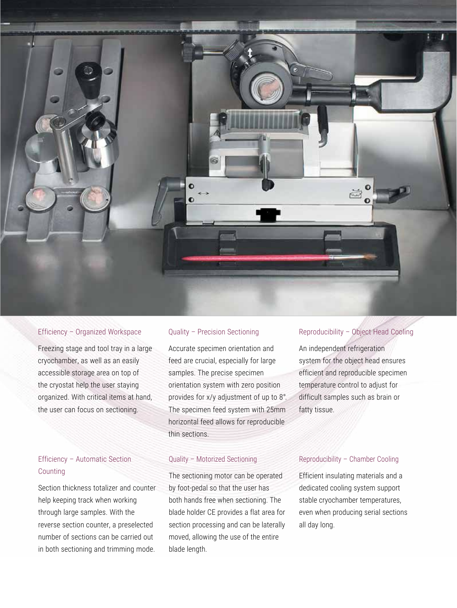

#### Efficiency – Organized Workspace

Freezing stage and tool tray in a large cryochamber, as well as an easily accessible storage area on top of the cryostat help the user staying organized. With critical items at hand, the user can focus on sectioning.

## Efficiency – Automatic Section Counting

Section thickness totalizer and counter help keeping track when working through large samples. With the reverse section counter, a preselected number of sections can be carried out in both sectioning and trimming mode.

### Quality – Precision Sectioning

Accurate specimen orientation and feed are crucial, especially for large samples. The precise specimen orientation system with zero position provides for x/y adjustment of up to 8°. The specimen feed system with 25mm horizontal feed allows for reproducible thin sections.

#### Quality – Motorized Sectioning

The sectioning motor can be operated by foot-pedal so that the user has both hands free when sectioning. The blade holder CE provides a flat area for section processing and can be laterally moved, allowing the use of the entire blade length.

### Reproducibility – Object Head Cooling

An independent refrigeration system for the object head ensures efficient and reproducible specimen temperature control to adjust for difficult samples such as brain or fatty tissue.

#### Reproducibility – Chamber Cooling

Efficient insulating materials and a dedicated cooling system support stable cryochamber temperatures, even when producing serial sections all day long.